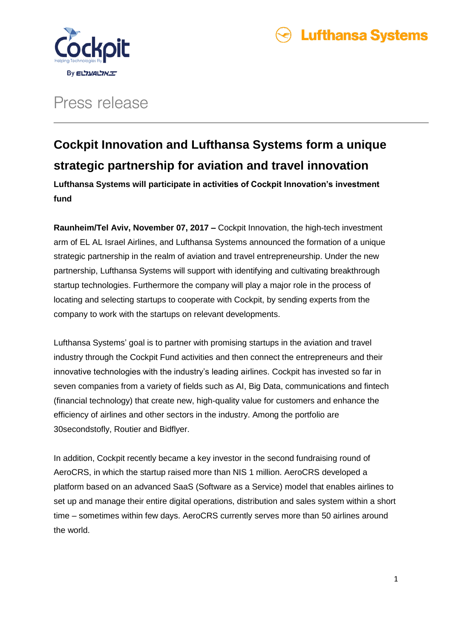



## Press release

### **Cockpit Innovation and Lufthansa Systems form a unique strategic partnership for aviation and travel innovation**

**Lufthansa Systems will participate in activities of Cockpit Innovation's investment fund** 

**Raunheim/Tel Aviv, November 07, 2017 –** Cockpit Innovation, the high-tech investment arm of EL AL Israel Airlines, and Lufthansa Systems announced the formation of a unique strategic partnership in the realm of aviation and travel entrepreneurship. Under the new partnership, Lufthansa Systems will support with identifying and cultivating breakthrough startup technologies. Furthermore the company will play a major role in the process of locating and selecting startups to cooperate with Cockpit, by sending experts from the company to work with the startups on relevant developments.

Lufthansa Systems' goal is to partner with promising startups in the aviation and travel industry through the Cockpit Fund activities and then connect the entrepreneurs and their innovative technologies with the industry's leading airlines. Cockpit has invested so far in seven companies from a variety of fields such as AI, Big Data, communications and fintech (financial technology) that create new, high-quality value for customers and enhance the efficiency of airlines and other sectors in the industry. Among the portfolio are 30secondstofly, Routier and Bidflyer.

In addition, Cockpit recently became a key investor in the second fundraising round of AeroCRS, in which the startup raised more than NIS 1 million. AeroCRS developed a platform based on an advanced SaaS (Software as a Service) model that enables airlines to set up and manage their entire digital operations, distribution and sales system within a short time – sometimes within few days. AeroCRS currently serves more than 50 airlines around the world.